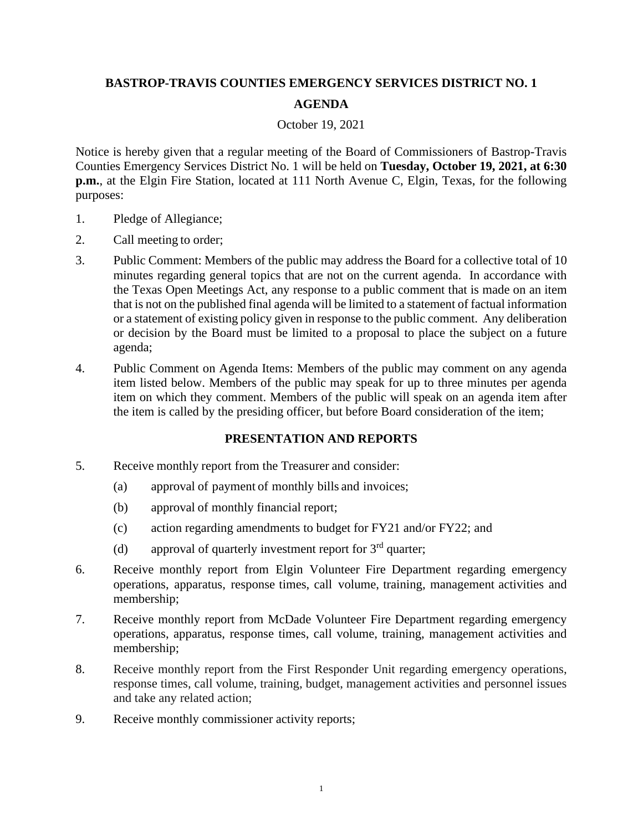## **BASTROP-TRAVIS COUNTIES EMERGENCY SERVICES DISTRICT NO. 1 AGENDA**

## October 19, 2021

Notice is hereby given that a regular meeting of the Board of Commissioners of Bastrop-Travis Counties Emergency Services District No. 1 will be held on **Tuesday, October 19, 2021, at 6:30 p.m.**, at the Elgin Fire Station, located at 111 North Avenue C, Elgin, Texas, for the following purposes:

- 1. Pledge of Allegiance;
- 2. Call meeting to order;
- 3. Public Comment: Members of the public may address the Board for a collective total of 10 minutes regarding general topics that are not on the current agenda. In accordance with the Texas Open Meetings Act, any response to a public comment that is made on an item that is not on the published final agenda will be limited to a statement of factual information or a statement of existing policy given in response to the public comment. Any deliberation or decision by the Board must be limited to a proposal to place the subject on a future agenda;
- 4. Public Comment on Agenda Items: Members of the public may comment on any agenda item listed below. Members of the public may speak for up to three minutes per agenda item on which they comment. Members of the public will speak on an agenda item after the item is called by the presiding officer, but before Board consideration of the item;

## **PRESENTATION AND REPORTS**

- 5. Receive monthly report from the Treasurer and consider:
	- (a) approval of payment of monthly bills and invoices;
	- (b) approval of monthly financial report;
	- (c) action regarding amendments to budget for FY21 and/or FY22; and
	- (d) approval of quarterly investment report for  $3<sup>rd</sup>$  quarter;
- 6. Receive monthly report from Elgin Volunteer Fire Department regarding emergency operations, apparatus, response times, call volume, training, management activities and membership;
- 7. Receive monthly report from McDade Volunteer Fire Department regarding emergency operations, apparatus, response times, call volume, training, management activities and membership;
- 8. Receive monthly report from the First Responder Unit regarding emergency operations, response times, call volume, training, budget, management activities and personnel issues and take any related action;
- 9. Receive monthly commissioner activity reports;